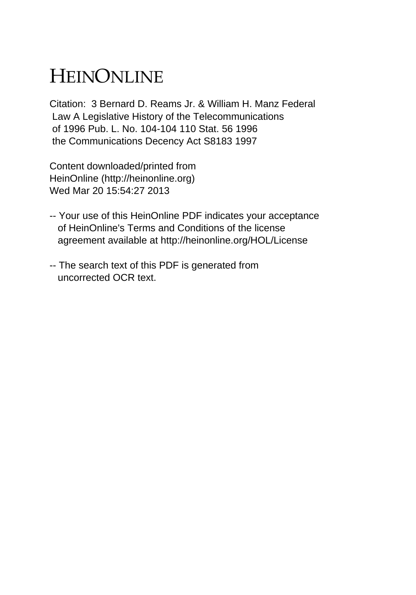# HEINONLINE

Citation: 3 Bernard D. Reams Jr. & William H. Manz Federal Law A Legislative History of the Telecommunications of 1996 Pub. L. No. 104-104 110 Stat. 56 1996 the Communications Decency Act S8183 1997

Content downloaded/printed from HeinOnline (http://heinonline.org) Wed Mar 20 15:54:27 2013

- -- Your use of this HeinOnline PDF indicates your acceptance of HeinOnline's Terms and Conditions of the license agreement available at http://heinonline.org/HOL/License
- -- The search text of this PDF is generated from uncorrected OCR text.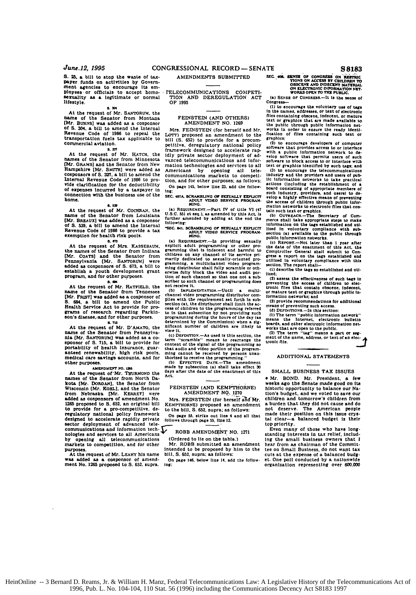# June 12, 1995

S. 25, a bill to stop the waste of tax-<br>payer funds on activities by Government agencies to encourage its em-<br>phoyees or officials to accept homo-Bexuality as a legitimate or normal lifestyle.

### 8.30

At the request of Mr. SANTORUM, the name of the Senator from Montana [Mr. BURNS] was added as a cosponsor of S. 304, a bill to amend the Internal Revenue Code of 1986 to repeal the transportation fuels tax applicable to commercial aviation.

### 8.37

At the request of Mr. HATCH, the hames of the Senator from Minnesota (Mr. GRAMS) and the Senator from New Hampshire (Mr. SMITH) were added as<br>cosponsor of S. 327, a bill to amend the<br>Internal Revenue Code of 1986 to pro-<br>vide clarification for the deductibility of expenses incurred by a taxpayer in connection with the business use of the home

At the request of Mr. COCHRAN, the name of the Senator from Louisiana<br>(Mr. BREAUX) was added as a cosponsor of S. 539, a bill to amend the Internal<br>Revenue Code of 1986 to provide a tax exemption for health risk pools.

8.50 At the request of Mrs. KASSEBAUM. Assessment the names of the Senator from Indiana<br>
[Mr. CoATS] and the Senator from<br>
Pennsylvania [Mr. SANTORUM] were<br>
added as cosponsors of S. 673, a bill to establish a youth development grant<br>program, and for other purposes.

At the request of Mr. HATFIELD, the name of the Senator from Tennessee [Mr. FRIST] was added as a cosponsor of 2. 634, a bill to amend the Public<br>Health Service Act to provide for proson's disease, and for other purposes.

8.715<br>At the request of Mr. D'AMATO, the name of the Senator from Pennsylvaname of the Senator from Pennsylva-<br>nia (Mr. SANTORUM) was added as a co-<br>sponsor of S. 715, a bill to provide for<br>portability of health insurance, guar-<br>anteed renewability. high risk pools,<br>medical care savings accounts, other purposes.

AMENDMENT NO. 1265<br>At the request of Mr. THURMOND the names of the Senator from North Da-<br>kota (Mr. DOROAN), the Senator from Wisconsin (Mr. KOHL), and the Senator from Nebraska [Mr. KERRET] were<br>added as cosponsors of amendment No.<br>1255 proposed to S. 652, an original bill to provide for a pro-competitive, deregulatory national policy framework<br>designed to accelerate rapidly private designed to accelerate rapidly private it.<br>sector deployment of advanced tele-<br>communications and information technologies and services to all Americans by opening all telecommunications markets to competition, and for other purposes.

At the request of Mr. LEAHY his name was added as a cosponsor of amend-<br>ment No. 1265 proposed to S. 652, supra.

# AMENDMENTS SUBMITTED

TELECOMMUNICATIONS COMPETI-TION AND DEREGULATION ACT **OF 1995** 

## FEINSTEIN (AND OTHERS) AMENDMENT NO. 1269

Mrs. FEINSTEIN (for herself and Mr. OTT) proposed an amendment to the bill (S. 652) to provide for a procom-<br>petitive, deregulatory national policy framework designed to accelerate rap idly private sector deployment of advanced telecommunications and information technologies and services to all Americans by opening all tele-<br>communications markets to competition, and for other purposes; as follows: On page 145, below line 23, add the follow-

# SEC. 407A SCRAMBLING OF SEXUALLY EXPLICITED:<br>ADULT VIDEO SERVICE PROGRAMMENTS.

ing:

(a) REQUIREMENT.-Part IV of title VI (47) U.S.C. 551 et seq.), as amended by this Act, is<br>further amended by adding at the end the following:

**SEC. 641. SCRAMBLING OF SEXUALLY EXPLICIT**<br>SEC. 641. SCRAMBLING OF SERVICE PROGRAM.<br>MING.

(a) REQUIREMENT.-In providing sexually (a) REQUIREMENT-....In providing essually<br>explicit adult programming or other pro-<br>gramming that is indecent and harmful to<br>children on any channel of its acretic primarily dedicated pro-<br>marily dedicated to assually-orien scriber to such channel or programming does<br>not receive it.<br>(b) IMPLEMENTATION.—Until a multi-

Comment of the programming distributor com-<br>plies with the requirement set forth in sub-<br>section (a), the distributor shall limit the ac-<br>cess of children to the programming referred cessor community tends to the property of the day (as to in that subsection by not providing such determined by the Commission) when a sig-<br>determined by the Commission when a sig-<br>aliftcant number of children are likely t view it.

view it.<br>
(c) DEFENTION.—As used is this section, the<br>
term "scramble" means to rearrange the<br>
content of the signal of the programming so<br>
that audio and video portion of the programming<br>
ming cannot be received by person

contract the processes the property of the amendment<br>made by subsection (a) shall take effect 30<br>days after the date of the enactment of this Act.

# FEINSTEIN (AND KEMPTHORNE) AMENDMENT NO. 1270

Mrs. FEINSTEIN (for herself and Mr. KEMPTHORNE) proposed an amendment<br>to the bill, S. 652, supra; as follows:

On page 55, strike out line 4 and all that follows through page 55, line 12.

# ROBB AMENDMENT NO. 1271

(Ordered to lie on the table.)

Mr. ROBB submitted an amendment<br>intended to be proposed by him to the<br>bill, S. 652, supra; as follows:

On page 146, below line 14, add the follow  $inc$ 

# SEC. 408. SENSE OF CONGRESS ON RESTRICTIONS ON ACCESS BY CHILDREN TO COSCENS AND INDECENT MATERIAL OUX ENS AND ENDECENT MAY<br>ON ELECTRONIC ENFORMATION<br>WORKS OPEN TO THE PUBLIC.

(a) SENSE OF CONGRESS.-It is the sense of Congress-

(1) to encourage the voluntary use of tags<br>in the names, addresses, or text of electronic files containing obscape, indecent, or mature these containing outcomes, inaccesse, increases, or masses that are made available to the public through public information networks in order to ensure the ready identification of files containing such text or  $$ 

graphies:<br>  $(2)$  to encourage developers of computer<br>  $10$ <br>  $10$ <br>  $10$ <br>  $10$ <br>  $10$ <br>  $10$ <br>  $10$ <br>  $10$ <br>  $10$ <br>  $10$ <br>  $10$ <br>  $10$ <br>  $10$ <br>  $10$ <br>  $10$ <br>  $10$ <br>  $10$ <br>  $10$ <br>  $10$ <br>  $10$ <br>  $10$ <br>  $10$ <br>  $10$ <br>  $10$ <br>  $10$ <br>  $10$ <br>  $10$ <br>  $10$ <br> At or grapines neutrined by such tags, and<br>(3) to encourage the telecommunications<br>dustry and the providers and users of pub- $(3)$  to Houstry and one providers and users of publications (including the establishment of a board consisting of appropriate members of such studies and such industry, providers, and users) to develop a highly effective means of tain such text or graphics.

(b) OUTREACH.-The Secretary of Com-<br>merce shall take appropriate steps to make<br>information on the tags established and uti-

information on the tage stablished and utilized in voluntary compliance with subsection (a) available to the public through public information natworks.<br>
(c) REFORT--Not latter than 1 year after the date of the sate of the

lized

(2) assess the effectiveness of such tags in sexes the access of children to electronic files that contain obscene, indecent, or mature text or graphics through public in-

of formation networks; and<br>
(3) provide recommendations for additional<br>
means of preventing such access. (d) DEFINITIONS.-In this section:

works that are open to the public.<br>(2) The term "tag" means a part or segment of the name, address, or text of an electrent of the

## ADDITIONAL STATEMENTS

### SMALL BUSINESS TAX ISSUES

• Mr. BOND. Mr. President, a few<br>weeks ago the Senate made good on its historic opportunity to balance our Nation's budget, and we voted to save our children and tomorrow's children from shows a burden that they did not cause and do<br>not deserve. The American people made their position on this issue crys-<br>tal clear---a balanced budget is their top priority.

Even many of those who have longstanding interests in tax relief, including the small business owners that I the first may chairman of the Commit-<br>tee on Small Business, do not want tax<br>cuts at the expense of a balanced budget. One poll conducted by a nationwide organization representing over 600,000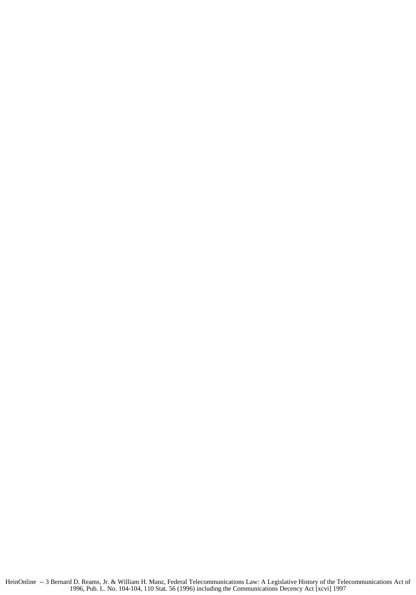HeinOnline -- 3 Bernard D. Reams, Jr. & William H. Manz, Federal Telecommunications Law: A Legislative History of the Telecommunications Act of 1996, Pub. L. No. 104-104, 110 Stat. 56 (1996) including the Communications Decency Act [xcvi] 1997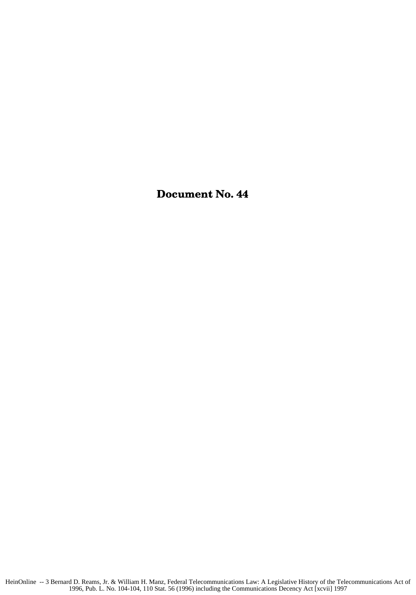Document No. 44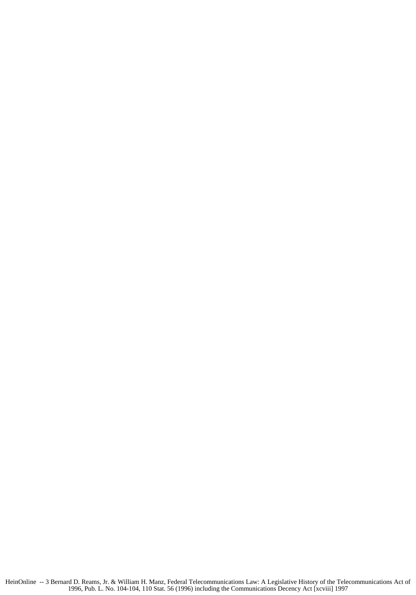HeinOnline -- 3 Bernard D. Reams, Jr. & William H. Manz, Federal Telecommunications Law: A Legislative History of the Telecommunications Act of 1996, Pub. L. No. 104-104, 110 Stat. 56 (1996) including the Communications Decency Act [xcviii] 1997